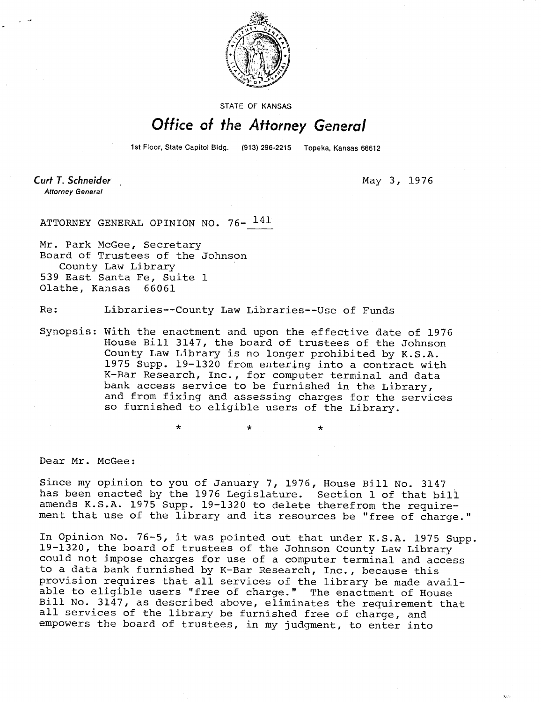

STATE OF KANSAS

## Office of the Attorney General

1st Floor, State Capitol Bldg. (913) 296-2215 Topeka, Kansas 66612

**Curt T. Schneider Attorney General** 

May 3, 1976

 $\mathbf{r}$ 

ATTORNEY GENERAL OPINION NO. 76- <sup>141</sup>

Mr. Park McGee, Secretary Board of Trustees of the Johnson County Law Library 539 East Santa Fe, Suite 1 Olathe, Kansas 66061

Re: Libraries--County Law Libraries--Use of Funds

Synopsis: With the enactment and upon the effective date of 1976 House Bill 3147, the board of trustees of the Johnson County Law Library is no longer prohibited by K.S.A. 1975 Supp. 19-1320 from entering into a contract with K-Bar Research, Inc., for computer terminal and data bank access service to be furnished in the Library, and from fixing and assessing charges for the services so furnished to eligible users of the Library.

Dear Mr. McGee:

Since my opinion to you of January 7, 1976, House Bill No. 3147 has been enacted by the 1976 Legislature. Section 1 of that bill amends K.S.A. 1975 Supp. 19-1320 to delete therefrom the requirement that use of the library and its resources be "free of charge."

In Opinion No. 76-5, it was pointed out that under K.S.A. 1975 Supp. 19-1320, the board of trustees of the Johnson County Law Library could not impose charges for use of a computer terminal and access to a data bank furnished by K-Bar Research, Inc., because this provision requires that all services of the library be made available to eligible users "free of charge." The enactment of House Bill No. 3147, as described above, eliminates the requirement that all services of the library be furnished free of charge, and empowers the board of trustees, in my judgment, to enter into